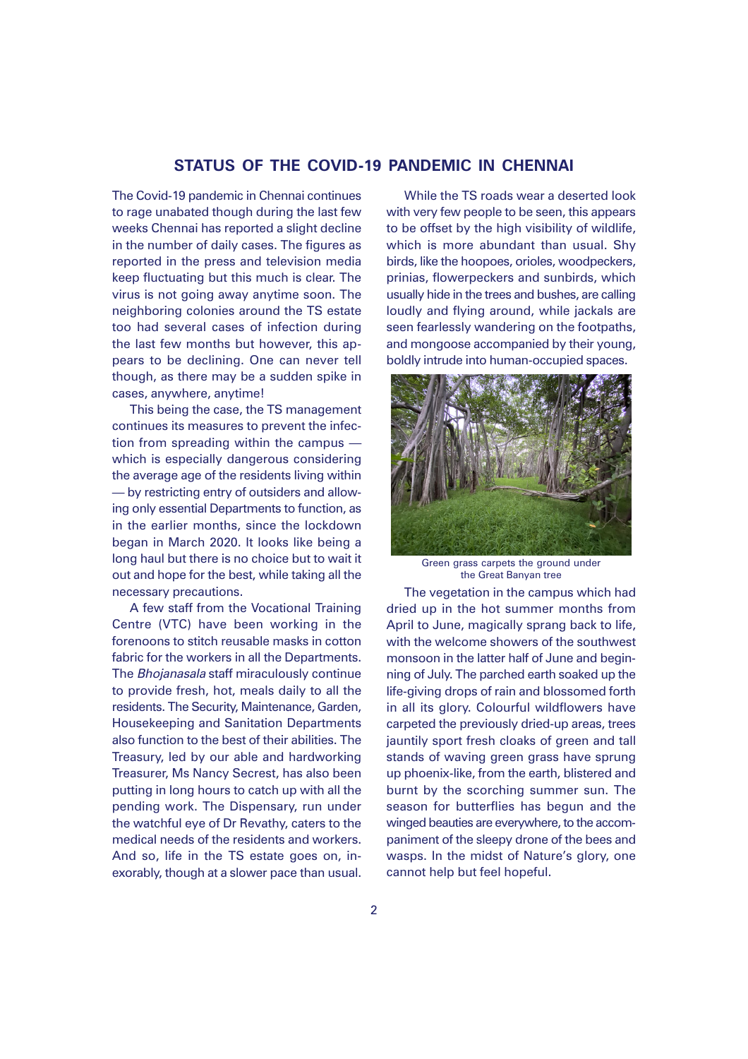## **STATUS OF THE COVID-19 PANDEMIC IN CHENNAI**

The Covid-19 pandemic in Chennai continues to rage unabated though during the last few weeks Chennai has reported a slight decline in the number of daily cases. The figures as reported in the press and television media keep fluctuating but this much is clear. The virus is not going away anytime soon. The neighboring colonies around the TS estate too had several cases of infection during the last few months but however, this appears to be declining. One can never tell though, as there may be a sudden spike in cases, anywhere, anytime!

This being the case, the TS management continues its measures to prevent the infection from spreading within the campus which is especially dangerous considering the average age of the residents living within — by restricting entry of outsiders and allowing only essential Departments to function, as in the earlier months, since the lockdown began in March 2020. It looks like being a long haul but there is no choice but to wait it out and hope for the best, while taking all the necessary precautions.

A few staff from the Vocational Training Centre (VTC) have been working in the forenoons to stitch reusable masks in cotton fabric for the workers in all the Departments. The Bhojanasala staff miraculously continue to provide fresh, hot, meals daily to all the residents. The Security, Maintenance, Garden, Housekeeping and Sanitation Departments also function to the best of their abilities. The Treasury, led by our able and hardworking Treasurer, Ms Nancy Secrest, has also been putting in long hours to catch up with all the pending work. The Dispensary, run under the watchful eye of Dr Revathy, caters to the medical needs of the residents and workers. And so, life in the TS estate goes on, inexorably, though at a slower pace than usual.

While the TS roads wear a deserted look with very few people to be seen, this appears to be offset by the high visibility of wildlife, which is more abundant than usual. Shy birds, like the hoopoes, orioles, woodpeckers, prinias, flowerpeckers and sunbirds, which usually hide in the trees and bushes, are calling loudly and flying around, while jackals are seen fearlessly wandering on the footpaths, and mongoose accompanied by their young, boldly intrude into human-occupied spaces.



Green grass carpets the ground under the Great Banyan tree

The vegetation in the campus which had dried up in the hot summer months from April to June, magically sprang back to life, with the welcome showers of the southwest monsoon in the latter half of June and beginning of July. The parched earth soaked up the life-giving drops of rain and blossomed forth in all its glory. Colourful wildflowers have carpeted the previously dried-up areas, trees jauntily sport fresh cloaks of green and tall stands of waving green grass have sprung up phoenix-like, from the earth, blistered and burnt by the scorching summer sun. The season for butterflies has begun and the winged beauties are everywhere, to the accompaniment of the sleepy drone of the bees and wasps. In the midst of Nature's glory, one cannot help but feel hopeful.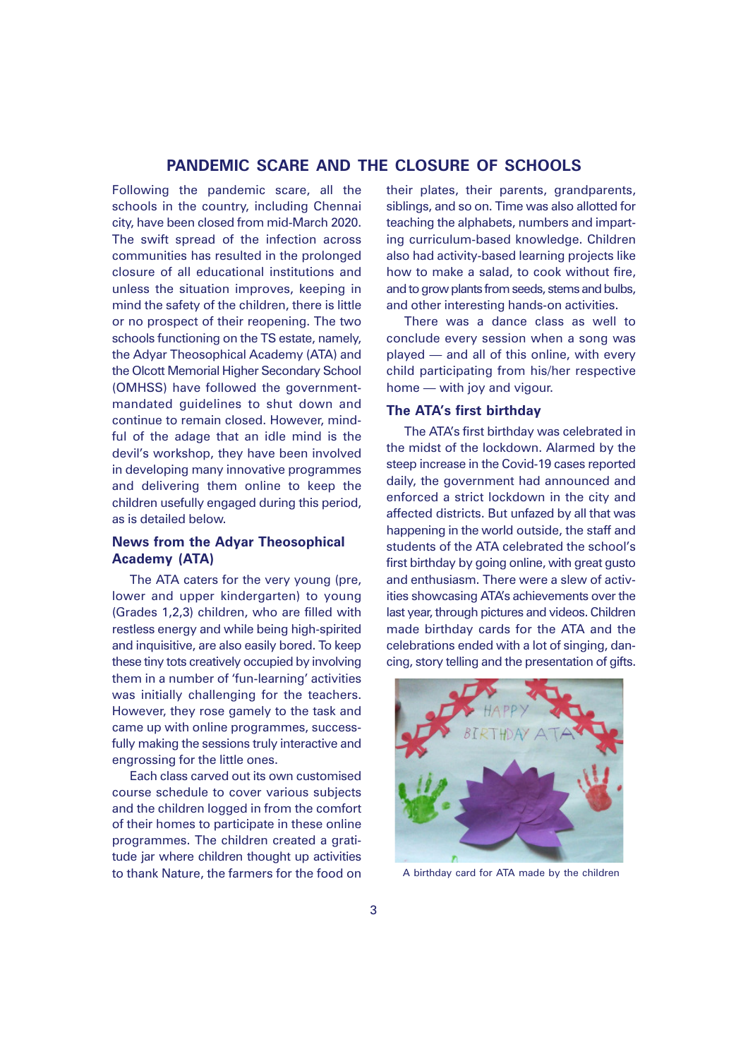#### **PANDEMIC SCARE AND THE CLOSURE OF SCHOOLS**

Following the pandemic scare, all the schools in the country, including Chennai city, have been closed from mid-March 2020. The swift spread of the infection across communities has resulted in the prolonged closure of all educational institutions and unless the situation improves, keeping in mind the safety of the children, there is little or no prospect of their reopening. The two schools functioning on the TS estate, namely, the Adyar Theosophical Academy (ATA) and the Olcott Memorial Higher Secondary School (OMHSS) have followed the governmentmandated guidelines to shut down and continue to remain closed. However, mindful of the adage that an idle mind is the devil's workshop, they have been involved in developing many innovative programmes and delivering them online to keep the children usefully engaged during this period, as is detailed below.

# **News from the Adyar Theosophical Academy (ATA)**

The ATA caters for the very young (pre, lower and upper kindergarten) to young (Grades 1,2,3) children, who are filled with restless energy and while being high-spirited and inquisitive, are also easily bored. To keep these tiny tots creatively occupied by involving them in a number of 'fun-learning' activities was initially challenging for the teachers. However, they rose gamely to the task and came up with online programmes, successfully making the sessions truly interactive and engrossing for the little ones.

Each class carved out its own customised course schedule to cover various subjects and the children logged in from the comfort of their homes to participate in these online programmes. The children created a gratitude jar where children thought up activities to thank Nature, the farmers for the food on their plates, their parents, grandparents, siblings, and so on. Time was also allotted for teaching the alphabets, numbers and imparting curriculum-based knowledge. Children also had activity-based learning projects like how to make a salad, to cook without fire, and to grow plants from seeds, stems and bulbs, and other interesting hands-on activities.

There was a dance class as well to conclude every session when a song was played — and all of this online, with every child participating from his/her respective home — with joy and vigour.

#### **The ATA's first birthday**

The ATA's first birthday was celebrated in the midst of the lockdown. Alarmed by the steep increase in the Covid-19 cases reported daily, the government had announced and enforced a strict lockdown in the city and affected districts. But unfazed by all that was happening in the world outside, the staff and students of the ATA celebrated the school's first birthday by going online, with great gusto and enthusiasm. There were a slew of activities showcasing ATA's achievements over the last year, through pictures and videos. Children made birthday cards for the ATA and the celebrations ended with a lot of singing, dancing, story telling and the presentation of gifts.



A birthday card for ATA made by the children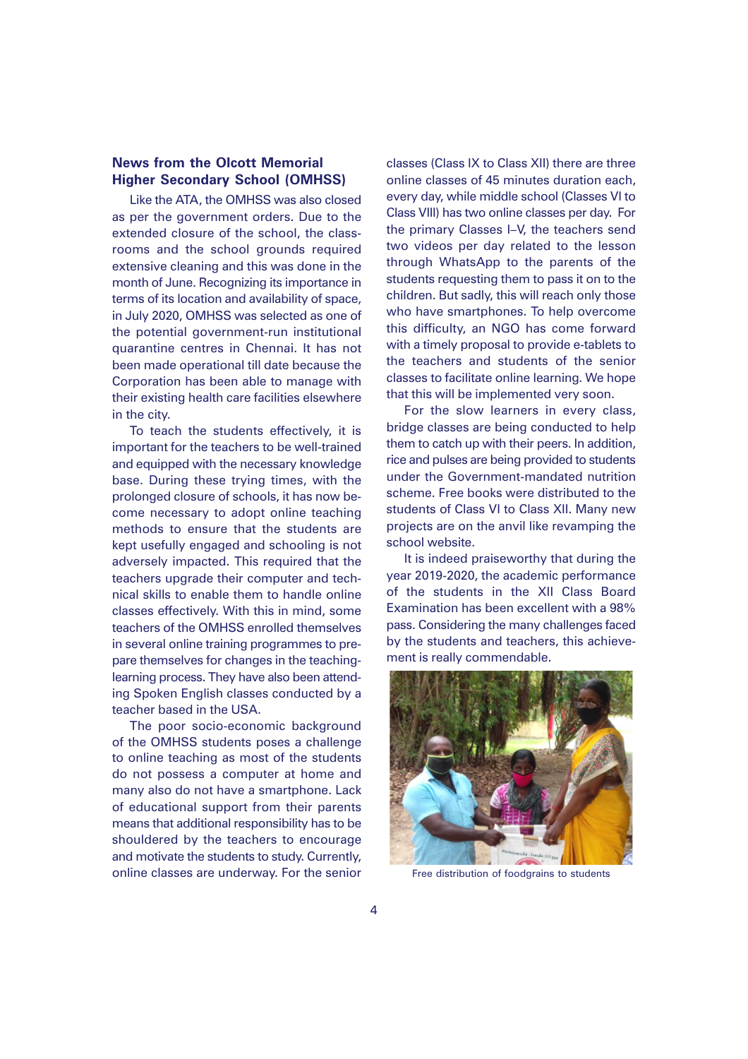# **News from the Olcott Memorial Higher Secondary School (OMHSS)**

Like the ATA, the OMHSS was also closed as per the government orders. Due to the extended closure of the school, the classrooms and the school grounds required extensive cleaning and this was done in the month of June. Recognizing its importance in terms of its location and availability of space, in July 2020, OMHSS was selected as one of the potential government-run institutional quarantine centres in Chennai. It has not been made operational till date because the Corporation has been able to manage with their existing health care facilities elsewhere in the city.

To teach the students effectively, it is important for the teachers to be well-trained and equipped with the necessary knowledge base. During these trying times, with the prolonged closure of schools, it has now become necessary to adopt online teaching methods to ensure that the students are kept usefully engaged and schooling is not adversely impacted. This required that the teachers upgrade their computer and technical skills to enable them to handle online classes effectively. With this in mind, some teachers of the OMHSS enrolled themselves in several online training programmes to prepare themselves for changes in the teachinglearning process. They have also been attending Spoken English classes conducted by a teacher based in the USA.

The poor socio-economic background of the OMHSS students poses a challenge to online teaching as most of the students do not possess a computer at home and many also do not have a smartphone. Lack of educational support from their parents means that additional responsibility has to be shouldered by the teachers to encourage and motivate the students to study. Currently, online classes are underway. For the senior

classes (Class IX to Class XII) there are three online classes of 45 minutes duration each, every day, while middle school (Classes VI to Class VIII) has two online classes per day. For the primary Classes I–V, the teachers send two videos per day related to the lesson through WhatsApp to the parents of the students requesting them to pass it on to the children. But sadly, this will reach only those who have smartphones. To help overcome this difficulty, an NGO has come forward with a timely proposal to provide e-tablets to the teachers and students of the senior classes to facilitate online learning. We hope that this will be implemented very soon.

For the slow learners in every class, bridge classes are being conducted to help them to catch up with their peers. In addition, rice and pulses are being provided to students under the Government-mandated nutrition scheme. Free books were distributed to the students of Class VI to Class XII. Many new projects are on the anvil like revamping the school website.

It is indeed praiseworthy that during the year 2019-2020, the academic performance of the students in the XII Class Board Examination has been excellent with a 98% pass. Considering the many challenges faced by the students and teachers, this achievement is really commendable.



Free distribution of foodgrains to students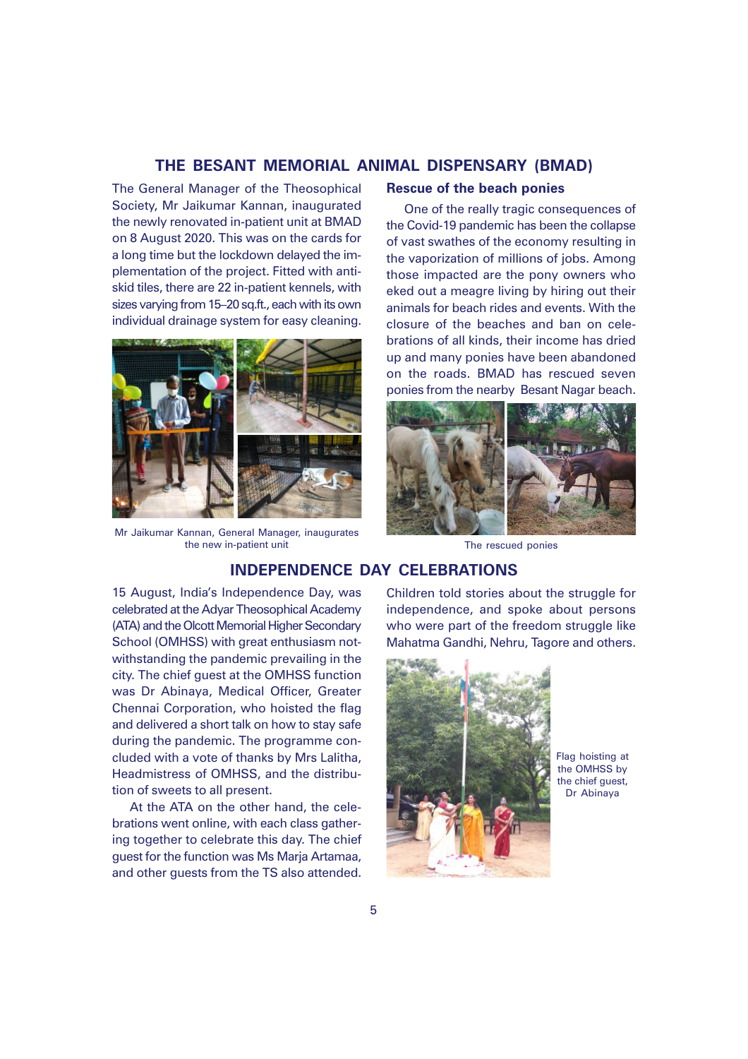# **THE BESANT MEMORIAL ANIMAL DISPENSARY (BMAD)**

The General Manager of the Theosophical Society, Mr Jaikumar Kannan, inaugurated the newly renovated in-patient unit at BMAD on 8 August 2020. This was on the cards for a long time but the lockdown delayed the implementation of the project. Fitted with antiskid tiles, there are 22 in-patient kennels, with sizes varying from 15–20 sq.ft., each with its own individual drainage system for easy cleaning.



Mr Jaikumar Kannan, General Manager, inaugurates the new in-patient unit The rescued ponies

#### **Rescue of the beach ponies**

One of the really tragic consequences of the Covid-19 pandemic has been the collapse of vast swathes of the economy resulting in the vaporization of millions of jobs. Among those impacted are the pony owners who eked out a meagre living by hiring out their animals for beach rides and events. With the closure of the beaches and ban on celebrations of all kinds, their income has dried up and many ponies have been abandoned on the roads. BMAD has rescued seven ponies from the nearby Besant Nagar beach.



# **INDEPENDENCE DAY CELEBRATIONS**

15 August, India's Independence Day, was celebrated at the Adyar Theosophical Academy (ATA) and the Olcott Memorial Higher Secondary School (OMHSS) with great enthusiasm notwithstanding the pandemic prevailing in the city. The chief guest at the OMHSS function was Dr Abinaya, Medical Officer, Greater Chennai Corporation, who hoisted the flag and delivered a short talk on how to stay safe during the pandemic. The programme concluded with a vote of thanks by Mrs Lalitha, Headmistress of OMHSS, and the distribution of sweets to all present.

At the ATA on the other hand, the celebrations went online, with each class gathering together to celebrate this day. The chief guest for the function was Ms Marja Artamaa, and other guests from the TS also attended.

Children told stories about the struggle for independence, and spoke about persons who were part of the freedom struggle like Mahatma Gandhi, Nehru, Tagore and others.



Flag hoisting at the OMHSS by the chief quest. Dr Abinaya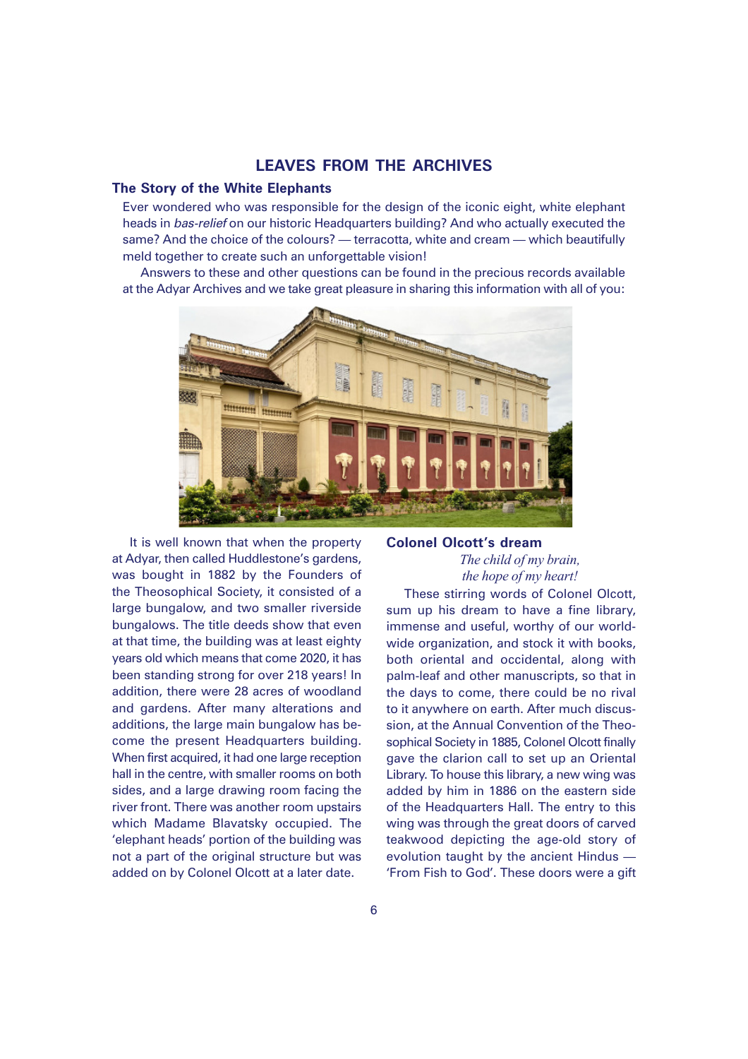### **LEAVES FROM THE ARCHIVES**

#### **The Story of the White Elephants**

Ever wondered who was responsible for the design of the iconic eight, white elephant heads in bas-relief on our historic Headquarters building? And who actually executed the same? And the choice of the colours? — terracotta, white and cream — which beautifully meld together to create such an unforgettable vision!

Answers to these and other questions can be found in the precious records available at the Adyar Archives and we take great pleasure in sharing this information with all of you:



It is well known that when the property at Adyar, then called Huddlestone's gardens, was bought in 1882 by the Founders of the Theosophical Society, it consisted of a large bungalow, and two smaller riverside bungalows. The title deeds show that even at that time, the building was at least eighty years old which means that come 2020, it has been standing strong for over 218 years! In addition, there were 28 acres of woodland and gardens. After many alterations and additions, the large main bungalow has become the present Headquarters building. When first acquired, it had one large reception hall in the centre, with smaller rooms on both sides, and a large drawing room facing the river front. There was another room upstairs which Madame Blavatsky occupied. The 'elephant heads' portion of the building was not a part of the original structure but was added on by Colonel Olcott at a later date.

#### **Colonel Olcott's dream**

# *The child of my brain, the hope of my heart!*

These stirring words of Colonel Olcott, sum up his dream to have a fine library, immense and useful, worthy of our worldwide organization, and stock it with books, both oriental and occidental, along with palm-leaf and other manuscripts, so that in the days to come, there could be no rival to it anywhere on earth. After much discussion, at the Annual Convention of the Theosophical Society in 1885, Colonel Olcott finally gave the clarion call to set up an Oriental Library. To house this library, a new wing was added by him in 1886 on the eastern side of the Headquarters Hall. The entry to this wing was through the great doors of carved teakwood depicting the age-old story of evolution taught by the ancient Hindus — 'From Fish to God'. These doors were a gift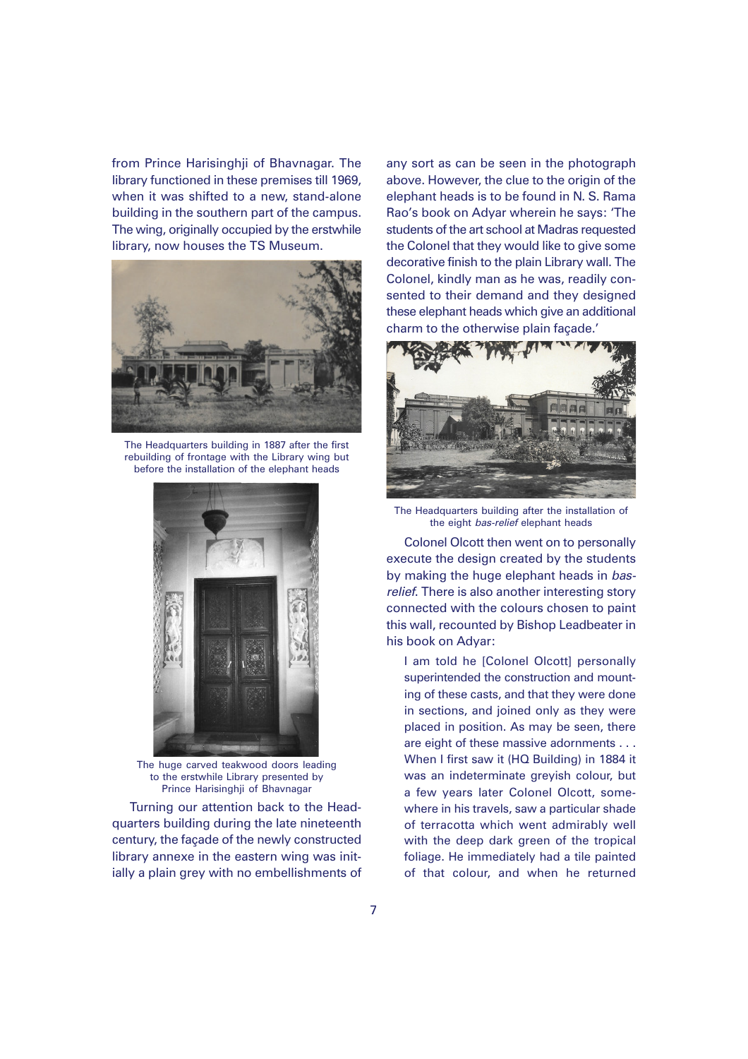from Prince Harisinghji of Bhavnagar. The library functioned in these premises till 1969, when it was shifted to a new, stand-alone building in the southern part of the campus. The wing, originally occupied by the erstwhile library, now houses the TS Museum.



The Headquarters building in 1887 after the first rebuilding of frontage with the Library wing but before the installation of the elephant heads



The huge carved teakwood doors leading to the erstwhile Library presented by Prince Harisinghji of Bhavnagar

Turning our attention back to the Headquarters building during the late nineteenth century, the façade of the newly constructed library annexe in the eastern wing was initially a plain grey with no embellishments of any sort as can be seen in the photograph above. However, the clue to the origin of the elephant heads is to be found in N. S. Rama Rao's book on Adyar wherein he says: 'The students of the art school at Madras requested the Colonel that they would like to give some decorative finish to the plain Library wall. The Colonel, kindly man as he was, readily consented to their demand and they designed these elephant heads which give an additional charm to the otherwise plain façade.'



The Headquarters building after the installation of the eight *bas-relief* elephant heads

Colonel Olcott then went on to personally execute the design created by the students by making the huge elephant heads in basrelief. There is also another interesting story connected with the colours chosen to paint this wall, recounted by Bishop Leadbeater in his book on Adyar:

I am told he [Colonel Olcott] personally superintended the construction and mounting of these casts, and that they were done in sections, and joined only as they were placed in position. As may be seen, there are eight of these massive adornments . . . When I first saw it (HQ Building) in 1884 it was an indeterminate greyish colour, but a few years later Colonel Olcott, somewhere in his travels, saw a particular shade of terracotta which went admirably well with the deep dark green of the tropical foliage. He immediately had a tile painted of that colour, and when he returned